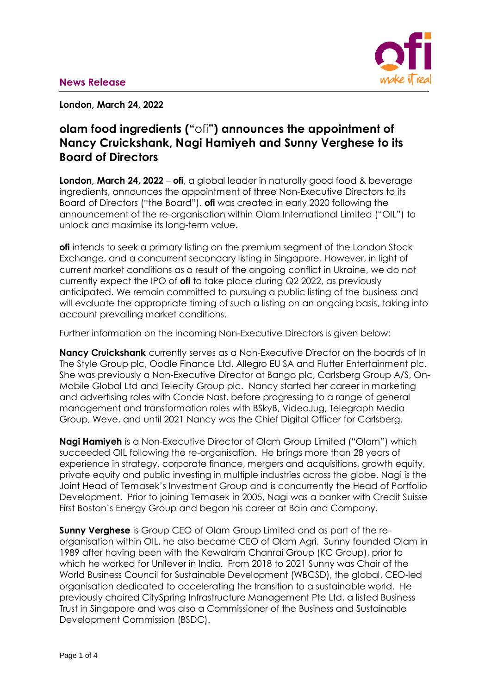

**London, March 24, 2022**

# **olam food ingredients ("**ofi**") announces the appointment of Nancy Cruickshank, Nagi Hamiyeh and Sunny Verghese to its Board of Directors**

**London, March 24, 2022 – ofi**, a global leader in naturally good food & beverage ingredients, announces the appointment of three Non-Executive Directors to its Board of Directors ("the Board"). **ofi** was created in early 2020 following the announcement of the re-organisation within Olam International Limited ("OIL") to unlock and maximise its long-term value.

**ofi** intends to seek a primary listing on the premium segment of the London Stock Exchange, and a concurrent secondary listing in Singapore. However, in light of current market conditions as a result of the ongoing conflict in Ukraine, we do not currently expect the IPO of **ofi** to take place during Q2 2022, as previously anticipated. We remain committed to pursuing a public listing of the business and will evaluate the appropriate timing of such a listing on an ongoing basis, taking into account prevailing market conditions.

Further information on the incoming Non-Executive Directors is given below:

**Nancy Cruickshank** currently serves as a Non-Executive Director on the boards of In The Style Group plc, Oodle Finance Ltd, Allegro EU SA and Flutter Entertainment plc. She was previously a Non-Executive Director at Bango plc, Carlsberg Group A/S, On-Mobile Global Ltd and Telecity Group plc. Nancy started her career in marketing and advertising roles with Conde Nast, before progressing to a range of general management and transformation roles with BSkyB, VideoJug, Telegraph Media Group, Weve, and until 2021 Nancy was the Chief Digital Officer for Carlsberg.

**Nagi Hamiyeh** is a Non-Executive Director of Olam Group Limited ("Olam") which succeeded OIL following the re-organisation. He brings more than 28 years of experience in strategy, corporate finance, mergers and acquisitions, growth equity, private equity and public investing in multiple industries across the globe. Nagi is the Joint Head of Temasek's Investment Group and is concurrently the Head of Portfolio Development. Prior to joining Temasek in 2005, Nagi was a banker with Credit Suisse First Boston's Energy Group and began his career at Bain and Company.

**Sunny Verghese** is Group CEO of Olam Group Limited and as part of the reorganisation within OIL, he also became CEO of Olam Agri. Sunny founded Olam in 1989 after having been with the Kewalram Chanrai Group (KC Group), prior to which he worked for Unilever in India. From 2018 to 2021 Sunny was Chair of the World Business Council for Sustainable Development (WBCSD), the global, CEO-led organisation dedicated to accelerating the transition to a sustainable world. He previously chaired CitySpring Infrastructure Management Pte Ltd, a listed Business Trust in Singapore and was also a Commissioner of the Business and Sustainable Development Commission (BSDC).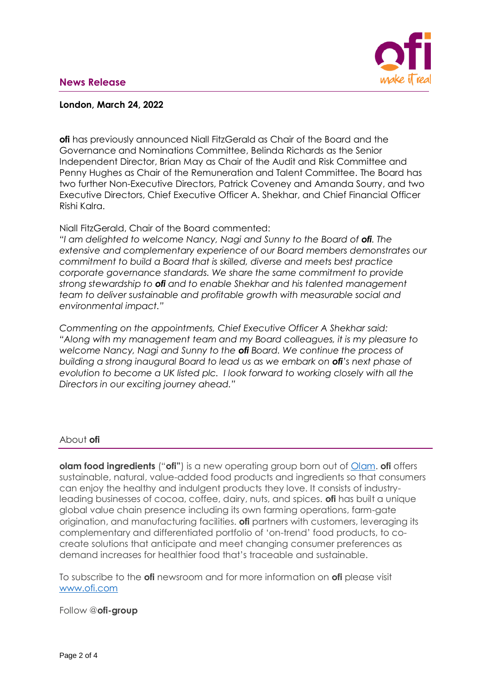# **News Release**



## **London, March 24, 2022**

**ofi** has previously announced Niall FitzGerald as Chair of the Board and the Governance and Nominations Committee, Belinda Richards as the Senior Independent Director, Brian May as Chair of the Audit and Risk Committee and Penny Hughes as Chair of the Remuneration and Talent Committee. The Board has two further Non-Executive Directors, Patrick Coveney and Amanda Sourry, and two Executive Directors, Chief Executive Officer A. Shekhar, and Chief Financial Officer Rishi Kalra.

Niall FitzGerald, Chair of the Board commented:

*"I am delighted to welcome Nancy, Nagi and Sunny to the Board of ofi. The extensive and complementary experience of our Board members demonstrates our commitment to build a Board that is skilled, diverse and meets best practice corporate governance standards. We share the same commitment to provide strong stewardship to ofi and to enable Shekhar and his talented management team to deliver sustainable and profitable growth with measurable social and environmental impact."*

*Commenting on the appointments, Chief Executive Officer A Shekhar said: "Along with my management team and my Board colleagues, it is my pleasure to welcome Nancy, Nagi and Sunny to the ofi Board. We continue the process of building a strong inaugural Board to lead us as we embark on ofi's next phase of evolution to become a UK listed plc. I look forward to working closely with all the Directors in our exciting journey ahead."*

#### About **ofi**

**olam food ingredients** ("**ofi"**) is a new operating group born out of [Olam.](http://www.olamgroup.com/) **ofi** offers sustainable, natural, value-added food products and ingredients so that consumers can enjoy the healthy and indulgent products they love. It consists of industryleading businesses of cocoa, coffee, dairy, nuts, and spices. **ofi** has built a unique global value chain presence including its own farming operations, farm-gate origination, and manufacturing facilities. **ofi** partners with customers, leveraging its complementary and differentiated portfolio of 'on-trend' food products, to cocreate solutions that anticipate and meet changing consumer preferences as demand increases for healthier food that's traceable and sustainable.

To subscribe to the **ofi** newsroom and for more information on **ofi** please visit [www.ofi.com](http://www.ofi.com/)

Follow @**ofi-group**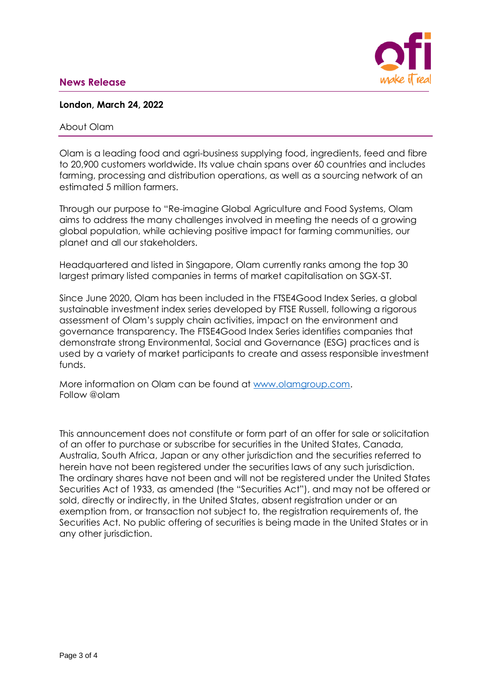# **News Release**



#### **London, March 24, 2022**

#### About Olam

Olam is a leading food and agri-business supplying food, ingredients, feed and fibre to 20,900 customers worldwide. Its value chain spans over 60 countries and includes farming, processing and distribution operations, as well as a sourcing network of an estimated 5 million farmers.

Through our purpose to "Re-imagine Global Agriculture and Food Systems, Olam aims to address the many challenges involved in meeting the needs of a growing global population, while achieving positive impact for farming communities, our planet and all our stakeholders.

Headquartered and listed in Singapore, Olam currently ranks among the top 30 largest primary listed companies in terms of market capitalisation on SGX-ST.

Since June 2020, Olam has been included in the FTSE4Good Index Series, a global sustainable investment index series developed by FTSE Russell, following a rigorous assessment of Olam's supply chain activities, impact on the environment and governance transparency. The FTSE4Good Index Series identifies companies that demonstrate strong Environmental, Social and Governance (ESG) practices and is used by a variety of market participants to create and assess responsible investment funds.

More information on Olam can be found at [www.olamgroup.com.](http://www.olamgroup.com/) Follow @olam

This announcement does not constitute or form part of an offer for sale or solicitation of an offer to purchase or subscribe for securities in the United States, Canada, Australia, South Africa, Japan or any other jurisdiction and the securities referred to herein have not been registered under the securities laws of any such jurisdiction. The ordinary shares have not been and will not be registered under the United States Securities Act of 1933, as amended (the "Securities Act"), and may not be offered or sold, directly or indirectly, in the United States, absent registration under or an exemption from, or transaction not subject to, the registration requirements of, the Securities Act. No public offering of securities is being made in the United States or in any other jurisdiction.